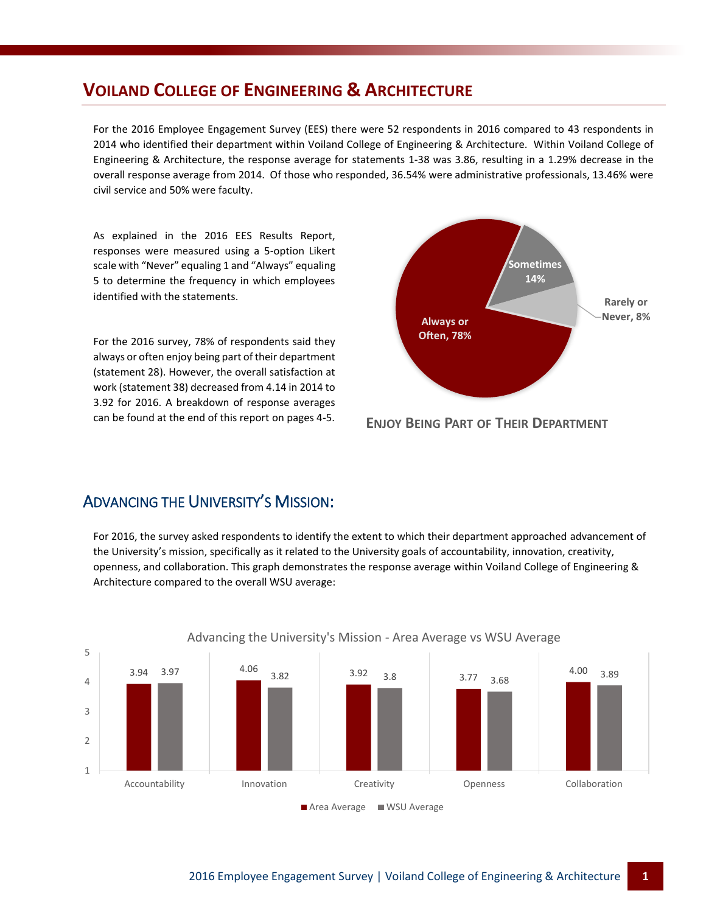# **VOILAND COLLEGE OF ENGINEERING & ARCHITECTURE**

For the 2016 Employee Engagement Survey (EES) there were 52 respondents in 2016 compared to 43 respondents in 2014 who identified their department within Voiland College of Engineering & Architecture. Within Voiland College of Engineering & Architecture, the response average for statements 1-38 was 3.86, resulting in a 1.29% decrease in the overall response average from 2014. Of those who responded, 36.54% were administrative professionals, 13.46% were civil service and 50% were faculty.

As explained in the 2016 EES Results Report, responses were measured using a 5-option Likert scale with "Never" equaling 1 and "Always" equaling 5 to determine the frequency in which employees identified with the statements.

For the 2016 survey, 78% of respondents said they always or often enjoy being part of their department (statement 28). However, the overall satisfaction at work (statement 38) decreased from 4.14 in 2014 to 3.92 for 2016. A breakdown of response averages can be found at the end of this report on pages 4-5.



**ENJOY BEING PART OF THEIR DEPARTMENT**

#### ADVANCING THE UNIVERSITY'S MISSION:

For 2016, the survey asked respondents to identify the extent to which their department approached advancement of the University's mission, specifically as it related to the University goals of accountability, innovation, creativity, openness, and collaboration. This graph demonstrates the response average within Voiland College of Engineering & Architecture compared to the overall WSU average:



#### Advancing the University's Mission - Area Average vs WSU Average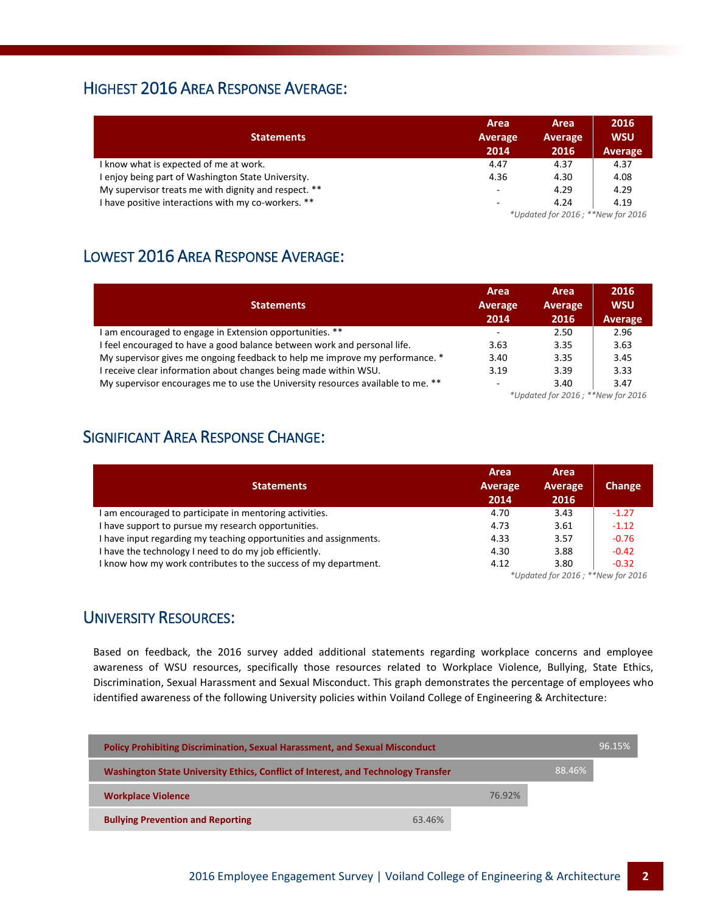#### HIGHEST 2016 AREA RESPONSE AVERAGE:

| <b>Statements</b>                                    | Area<br>Average<br>2014  | Area<br>Average<br>2016           | 2016<br><b>WSU</b><br>Average |  |
|------------------------------------------------------|--------------------------|-----------------------------------|-------------------------------|--|
| I know what is expected of me at work.               | 4.47                     | 4.37                              | 4.37                          |  |
| I enjoy being part of Washington State University.   | 4.36                     | 4.30                              | 4.08                          |  |
| My supervisor treats me with dignity and respect. ** | $\overline{\phantom{a}}$ | 4.29                              | 4.29                          |  |
| I have positive interactions with my co-workers. **  | -                        | 4.24                              | 4.19                          |  |
|                                                      |                          | *Updated for 2016; **New for 2016 |                               |  |

# LOWEST 2016 AREA RESPONSE AVERAGE:

| <b>Statements</b>                                                               | Area<br>Average<br>2014           | Area<br>Average<br>2016 | 2016<br><b>WSU</b><br>Average |
|---------------------------------------------------------------------------------|-----------------------------------|-------------------------|-------------------------------|
| I am encouraged to engage in Extension opportunities. **                        | $\sim$                            | 2.50                    | 2.96                          |
| I feel encouraged to have a good balance between work and personal life.        | 3.63                              | 3.35                    | 3.63                          |
| My supervisor gives me ongoing feedback to help me improve my performance. *    | 3.40                              | 3.35                    | 3.45                          |
| I receive clear information about changes being made within WSU.                | 3.19                              | 3.39                    | 3.33                          |
| My supervisor encourages me to use the University resources available to me. ** | $\overline{\phantom{a}}$          | 3.40                    | 3.47                          |
|                                                                                 | *Updated for 2016; **New for 2016 |                         |                               |

### SIGNIFICANT AREA RESPONSE CHANGE:

| <b>Statements</b>                                                 | Area<br>Average<br>2014 | <b>Area</b><br><b>Average</b><br>2016 | <b>Change</b> |
|-------------------------------------------------------------------|-------------------------|---------------------------------------|---------------|
| I am encouraged to participate in mentoring activities.           | 4.70                    | 3.43                                  | $-1.27$       |
| I have support to pursue my research opportunities.               | 4.73                    | 3.61                                  | $-1.12$       |
| I have input regarding my teaching opportunities and assignments. | 4.33                    | 3.57                                  | $-0.76$       |
| I have the technology I need to do my job efficiently.            | 4.30                    | 3.88                                  | $-0.42$       |
| I know how my work contributes to the success of my department.   | 4.12                    | 3.80                                  | $-0.32$       |

*\*Updated for 2016 ; \*\*New for 2016*

#### UNIVERSITY RESOURCES:

Based on feedback, the 2016 survey added additional statements regarding workplace concerns and employee awareness of WSU resources, specifically those resources related to Workplace Violence, Bullying, State Ethics, Discrimination, Sexual Harassment and Sexual Misconduct. This graph demonstrates the percentage of employees who identified awareness of the following University policies within Voiland College of Engineering & Architecture:

| <b>Policy Prohibiting Discrimination, Sexual Harassment, and Sexual Misconduct</b>          |        |        |  | 96.15% |
|---------------------------------------------------------------------------------------------|--------|--------|--|--------|
| 88.46%<br>Washington State University Ethics, Conflict of Interest, and Technology Transfer |        |        |  |        |
| <b>Workplace Violence</b>                                                                   |        | 76.92% |  |        |
| <b>Bullying Prevention and Reporting</b>                                                    | 63.46% |        |  |        |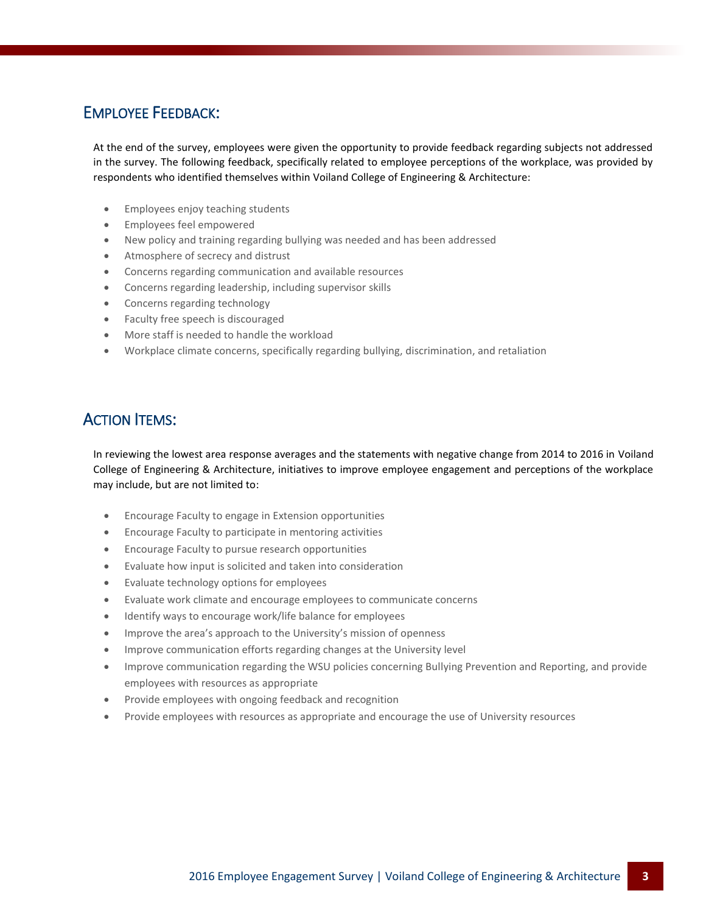### EMPLOYEE FEEDBACK:

At the end of the survey, employees were given the opportunity to provide feedback regarding subjects not addressed in the survey. The following feedback, specifically related to employee perceptions of the workplace, was provided by respondents who identified themselves within Voiland College of Engineering & Architecture:

- **•** Employees enjoy teaching students
- Employees feel empowered
- New policy and training regarding bullying was needed and has been addressed
- Atmosphere of secrecy and distrust
- Concerns regarding communication and available resources
- Concerns regarding leadership, including supervisor skills
- Concerns regarding technology
- Faculty free speech is discouraged
- More staff is needed to handle the workload
- Workplace climate concerns, specifically regarding bullying, discrimination, and retaliation

## **ACTION ITEMS:**

In reviewing the lowest area response averages and the statements with negative change from 2014 to 2016 in Voiland College of Engineering & Architecture, initiatives to improve employee engagement and perceptions of the workplace may include, but are not limited to:

- Encourage Faculty to engage in Extension opportunities
- Encourage Faculty to participate in mentoring activities
- Encourage Faculty to pursue research opportunities
- Evaluate how input is solicited and taken into consideration
- Evaluate technology options for employees
- Evaluate work climate and encourage employees to communicate concerns
- Identify ways to encourage work/life balance for employees
- Improve the area's approach to the University's mission of openness
- Improve communication efforts regarding changes at the University level
- Improve communication regarding the WSU policies concerning Bullying Prevention and Reporting, and provide employees with resources as appropriate
- Provide employees with ongoing feedback and recognition
- Provide employees with resources as appropriate and encourage the use of University resources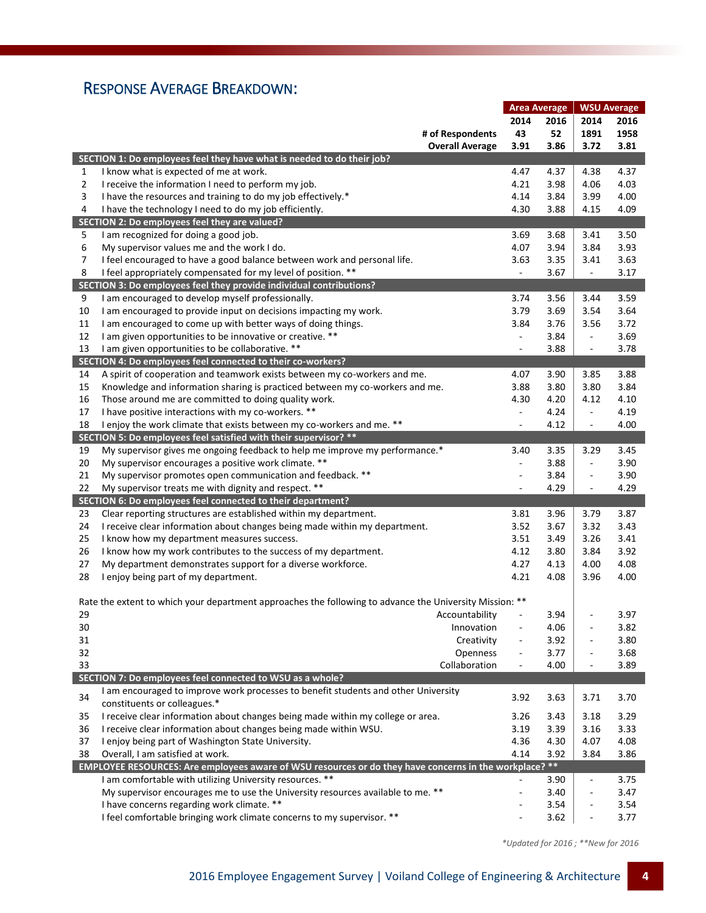# RESPONSE AVERAGE BREAKDOWN:

|    |                                                                                                         | <b>Area Average</b>      |      | <b>WSU Average</b>       |      |
|----|---------------------------------------------------------------------------------------------------------|--------------------------|------|--------------------------|------|
|    |                                                                                                         | 2014                     | 2016 | 2014                     | 2016 |
|    | # of Respondents                                                                                        | 43                       | 52   | 1891                     | 1958 |
|    | <b>Overall Average</b>                                                                                  | 3.91                     | 3.86 | 3.72                     | 3.81 |
|    | SECTION 1: Do employees feel they have what is needed to do their job?                                  |                          |      |                          |      |
| 1  | I know what is expected of me at work.                                                                  | 4.47                     | 4.37 | 4.38                     | 4.37 |
| 2  | I receive the information I need to perform my job.                                                     | 4.21                     | 3.98 | 4.06                     | 4.03 |
| 3  |                                                                                                         | 4.14                     | 3.84 | 3.99                     | 4.00 |
|    | I have the resources and training to do my job effectively.*                                            |                          |      |                          |      |
| 4  | I have the technology I need to do my job efficiently.                                                  | 4.30                     | 3.88 | 4.15                     | 4.09 |
|    | SECTION 2: Do employees feel they are valued?                                                           |                          |      |                          |      |
| 5  | I am recognized for doing a good job.                                                                   | 3.69                     | 3.68 | 3.41                     | 3.50 |
| 6  | My supervisor values me and the work I do.                                                              | 4.07                     | 3.94 | 3.84                     | 3.93 |
| 7  | I feel encouraged to have a good balance between work and personal life.                                | 3.63                     | 3.35 | 3.41                     | 3.63 |
| 8  | I feel appropriately compensated for my level of position. **                                           | ÷,                       | 3.67 | $\overline{\phantom{a}}$ | 3.17 |
|    | SECTION 3: Do employees feel they provide individual contributions?                                     |                          |      |                          |      |
| 9  | I am encouraged to develop myself professionally.                                                       | 3.74                     | 3.56 | 3.44                     | 3.59 |
| 10 | I am encouraged to provide input on decisions impacting my work.                                        | 3.79                     | 3.69 | 3.54                     | 3.64 |
| 11 | I am encouraged to come up with better ways of doing things.                                            | 3.84                     | 3.76 | 3.56                     | 3.72 |
| 12 | I am given opportunities to be innovative or creative. **                                               | $\Box$                   | 3.84 | $\overline{\phantom{a}}$ | 3.69 |
| 13 | I am given opportunities to be collaborative. **                                                        | $\blacksquare$           | 3.88 | $\overline{\phantom{a}}$ | 3.78 |
|    | SECTION 4: Do employees feel connected to their co-workers?                                             |                          |      |                          |      |
| 14 | A spirit of cooperation and teamwork exists between my co-workers and me.                               | 4.07                     | 3.90 | 3.85                     | 3.88 |
| 15 | Knowledge and information sharing is practiced between my co-workers and me.                            | 3.88                     | 3.80 | 3.80                     | 3.84 |
| 16 | Those around me are committed to doing quality work.                                                    | 4.30                     | 4.20 | 4.12                     | 4.10 |
| 17 | I have positive interactions with my co-workers. **                                                     | $\Box$                   | 4.24 | $\overline{\phantom{a}}$ | 4.19 |
| 18 | I enjoy the work climate that exists between my co-workers and me. **                                   | ÷,                       | 4.12 | $\overline{\phantom{a}}$ | 4.00 |
|    | SECTION 5: Do employees feel satisfied with their supervisor? **                                        |                          |      |                          |      |
| 19 | My supervisor gives me ongoing feedback to help me improve my performance.*                             | 3.40                     | 3.35 | 3.29                     | 3.45 |
| 20 | My supervisor encourages a positive work climate. **                                                    | ÷,                       | 3.88 | $\overline{\phantom{a}}$ | 3.90 |
| 21 | My supervisor promotes open communication and feedback. **                                              | $\overline{a}$           | 3.84 | $\blacksquare$           | 3.90 |
| 22 | My supervisor treats me with dignity and respect. **                                                    | ÷,                       | 4.29 | $\overline{\phantom{a}}$ | 4.29 |
|    | SECTION 6: Do employees feel connected to their department?                                             |                          |      |                          |      |
| 23 | Clear reporting structures are established within my department.                                        | 3.81                     | 3.96 | 3.79                     | 3.87 |
| 24 | I receive clear information about changes being made within my department.                              | 3.52                     | 3.67 | 3.32                     | 3.43 |
| 25 | I know how my department measures success.                                                              | 3.51                     | 3.49 | 3.26                     | 3.41 |
| 26 | I know how my work contributes to the success of my department.                                         | 4.12                     | 3.80 | 3.84                     | 3.92 |
| 27 | My department demonstrates support for a diverse workforce.                                             | 4.27                     | 4.13 | 4.00                     | 4.08 |
| 28 | I enjoy being part of my department.                                                                    | 4.21                     | 4.08 | 3.96                     | 4.00 |
|    |                                                                                                         |                          |      |                          |      |
|    | Rate the extent to which your department approaches the following to advance the University Mission: ** |                          |      |                          |      |
| 29 | Accountability                                                                                          | ÷,                       | 3.94 |                          | 3.97 |
| 30 | Innovation                                                                                              |                          | 4.06 |                          | 3.82 |
| 31 | Creativity                                                                                              |                          | 3.92 |                          | 3.80 |
| 32 | Openness                                                                                                | $\overline{\phantom{0}}$ | 3.77 |                          | 3.68 |
| 33 | Collaboration                                                                                           | $\overline{a}$           | 4.00 |                          | 3.89 |
|    | SECTION 7: Do employees feel connected to WSU as a whole?                                               |                          |      |                          |      |
|    | I am encouraged to improve work processes to benefit students and other University                      |                          |      |                          |      |
| 34 | constituents or colleagues.*                                                                            | 3.92                     | 3.63 | 3.71                     | 3.70 |
|    |                                                                                                         |                          |      |                          |      |
| 35 | I receive clear information about changes being made within my college or area.                         | 3.26                     | 3.43 | 3.18                     | 3.29 |
| 36 | I receive clear information about changes being made within WSU.                                        | 3.19                     | 3.39 | 3.16                     | 3.33 |
| 37 | I enjoy being part of Washington State University.                                                      | 4.36                     | 4.30 | 4.07                     | 4.08 |
| 38 | Overall, I am satisfied at work.                                                                        | 4.14                     | 3.92 | 3.84                     | 3.86 |
|    | EMPLOYEE RESOURCES: Are employees aware of WSU resources or do they have concerns in the workplace? **  |                          |      |                          |      |
|    | I am comfortable with utilizing University resources. **                                                | ÷,                       | 3.90 | ÷,                       | 3.75 |
|    | My supervisor encourages me to use the University resources available to me. **                         | $\overline{a}$           | 3.40 | ÷                        | 3.47 |
|    | I have concerns regarding work climate. **                                                              |                          | 3.54 |                          | 3.54 |
|    | I feel comfortable bringing work climate concerns to my supervisor. **                                  |                          | 3.62 |                          | 3.77 |

*\*Updated for 2016 ; \*\*New for 2016*